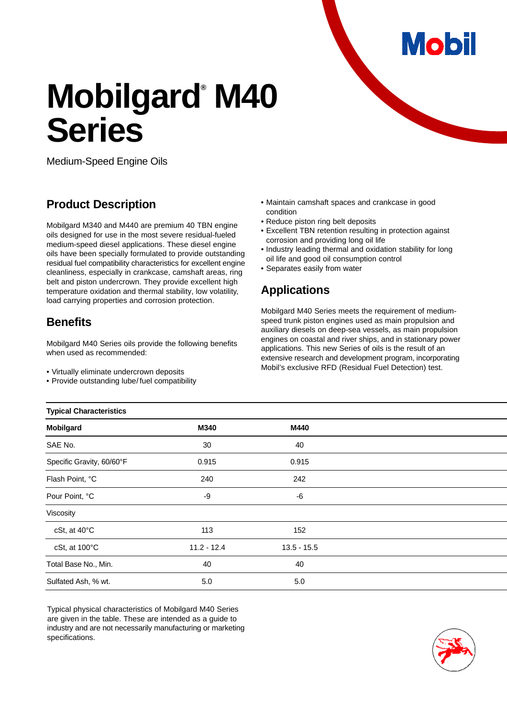**Mobil** 

# **Mobilgard<sup>®</sup> M40 Series**

Medium-Speed Engine Oils

# **Product Description**

Mobilgard M340 and M440 are premium 40 TBN engine oils designed for use in the most severe residual-fueled medium-speed diesel applications. These diesel engine oils have been specially formulated to provide outstanding residual fuel compatibility characteristics for excellent engine cleanliness, especially in crankcase, camshaft areas, ring belt and piston undercrown. They provide excellent high temperature oxidation and thermal stability, low volatility, load carrying properties and corrosion protection.

## **Benefits**

Mobilgard M40 Series oils provide the following benefits when used as recommended:

• Virtually eliminate undercrown deposits

• Provide outstanding lube/ fuel compatibility

- Maintain camshaft spaces and crankcase in good condition
- Reduce piston ring belt deposits
- Excellent TBN retention resulting in protection against corrosion and providing long oil life
- Industry leading thermal and oxidation stability for long oil life and good oil consumption control
- Separates easily from water

## **Applications**

Mobilgard M40 Series meets the requirement of mediumspeed trunk piston engines used as main propulsion and auxiliary diesels on deep-sea vessels, as main propulsion engines on coastal and river ships, and in stationary power applications. This new Series of oils is the result of an extensive research and development program, incorporating Mobil's exclusive RFD (Residual Fuel Detection) test.

| Typical Unaracteristics   |               |               |  |
|---------------------------|---------------|---------------|--|
| Mobilgard                 | M340          | M440          |  |
| SAE No.                   | 30            | 40            |  |
| Specific Gravity, 60/60°F | 0.915         | 0.915         |  |
| Flash Point, °C           | 240           | 242           |  |
| Pour Point, °C            | -9            | -6            |  |
| Viscosity                 |               |               |  |
| cSt, at 40°C              | 113           | 152           |  |
| cSt, at 100°C             | $11.2 - 12.4$ | $13.5 - 15.5$ |  |
| Total Base No., Min.      | 40            | 40            |  |
| Sulfated Ash, % wt.       | 5.0           | 5.0           |  |
|                           |               |               |  |

Typical physical characteristics of Mobilgard M40 Series are given in the table. These are intended as a guide to industry and are not necessarily manufacturing or marketing specifications.



#### **Typical Characteristics**